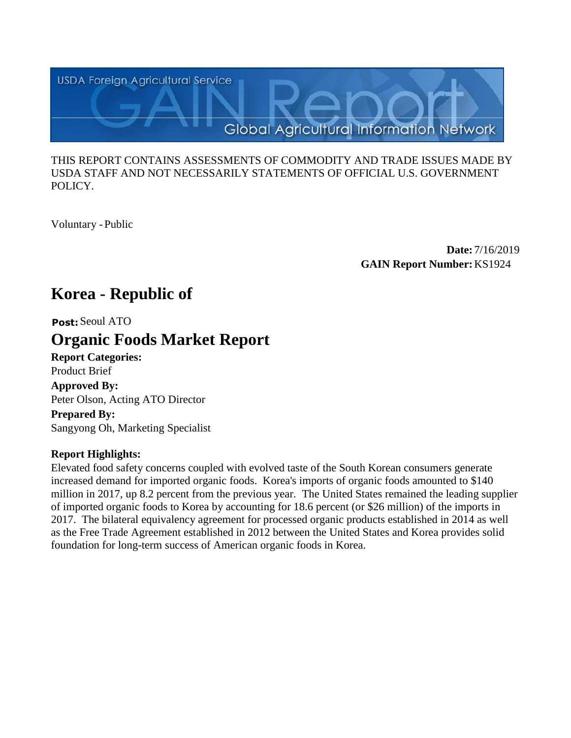

## THIS REPORT CONTAINS ASSESSMENTS OF COMMODITY AND TRADE ISSUES MADE BY USDA STAFF AND NOT NECESSARILY STATEMENTS OF OFFICIAL U.S. GOVERNMENT POLICY.

Voluntary -Public

**Date:** 7/16/2019 **GAIN Report Number:**KS1924

# **Korea - Republic of**

# **Post:** Seoul ATO

# **Organic Foods Market Report**

**Report Categories:** Product Brief **Approved By:**  Peter Olson, Acting ATO Director **Prepared By:** 

Sangyong Oh, Marketing Specialist

## **Report Highlights:**

Elevated food safety concerns coupled with evolved taste of the South Korean consumers generate increased demand for imported organic foods. Korea's imports of organic foods amounted to \$140 million in 2017, up 8.2 percent from the previous year. The United States remained the leading supplier of imported organic foods to Korea by accounting for 18.6 percent (or \$26 million) of the imports in 2017. The bilateral equivalency agreement for processed organic products established in 2014 as well as the Free Trade Agreement established in 2012 between the United States and Korea provides solid foundation for long-term success of American organic foods in Korea.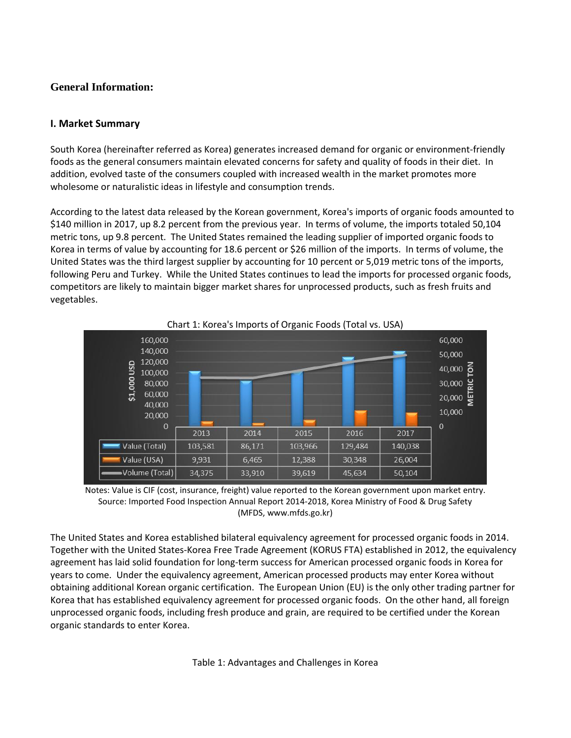# **General Information:**

## **I. Market Summary**

South Korea (hereinafter referred as Korea) generates increased demand for organic or environment-friendly foods as the general consumers maintain elevated concerns for safety and quality of foods in their diet. In addition, evolved taste of the consumers coupled with increased wealth in the market promotes more wholesome or naturalistic ideas in lifestyle and consumption trends.

According to the latest data released by the Korean government, Korea's imports of organic foods amounted to \$140 million in 2017, up 8.2 percent from the previous year. In terms of volume, the imports totaled 50,104 metric tons, up 9.8 percent. The United States remained the leading supplier of imported organic foods to Korea in terms of value by accounting for 18.6 percent or \$26 million of the imports. In terms of volume, the United States was the third largest supplier by accounting for 10 percent or 5,019 metric tons of the imports, following Peru and Turkey. While the United States continues to lead the imports for processed organic foods, competitors are likely to maintain bigger market shares for unprocessed products, such as fresh fruits and vegetables.





The United States and Korea established bilateral equivalency agreement for processed organic foods in 2014. Together with the United States-Korea Free Trade Agreement (KORUS FTA) established in 2012, the equivalency agreement has laid solid foundation for long-term success for American processed organic foods in Korea for years to come. Under the equivalency agreement, American processed products may enter Korea without obtaining additional Korean organic certification. The European Union (EU) is the only other trading partner for Korea that has established equivalency agreement for processed organic foods. On the other hand, all foreign unprocessed organic foods, including fresh produce and grain, are required to be certified under the Korean organic standards to enter Korea.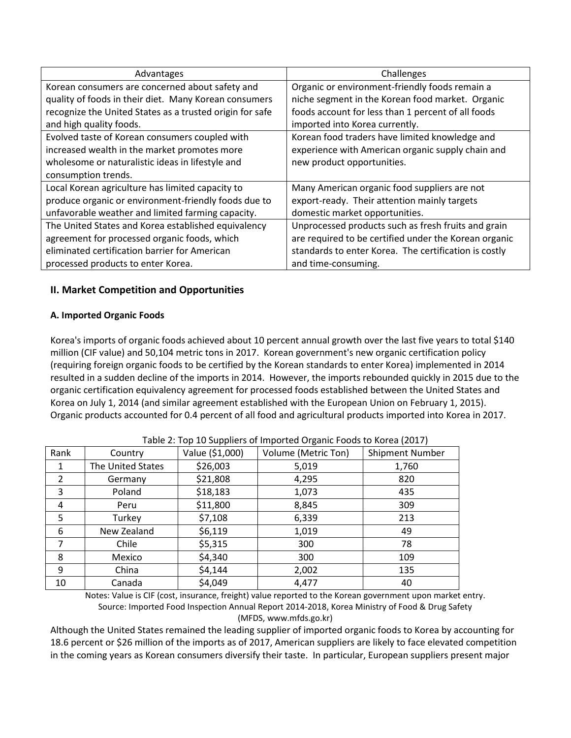| Advantages                                               | Challenges                                            |
|----------------------------------------------------------|-------------------------------------------------------|
| Korean consumers are concerned about safety and          | Organic or environment-friendly foods remain a        |
| quality of foods in their diet. Many Korean consumers    | niche segment in the Korean food market. Organic      |
| recognize the United States as a trusted origin for safe | foods account for less than 1 percent of all foods    |
| and high quality foods.                                  | imported into Korea currently.                        |
| Evolved taste of Korean consumers coupled with           | Korean food traders have limited knowledge and        |
| increased wealth in the market promotes more             | experience with American organic supply chain and     |
| wholesome or naturalistic ideas in lifestyle and         | new product opportunities.                            |
| consumption trends.                                      |                                                       |
| Local Korean agriculture has limited capacity to         | Many American organic food suppliers are not          |
| produce organic or environment-friendly foods due to     | export-ready. Their attention mainly targets          |
| unfavorable weather and limited farming capacity.        | domestic market opportunities.                        |
| The United States and Korea established equivalency      | Unprocessed products such as fresh fruits and grain   |
| agreement for processed organic foods, which             | are required to be certified under the Korean organic |
| eliminated certification barrier for American            | standards to enter Korea. The certification is costly |
| processed products to enter Korea.                       | and time-consuming.                                   |

## **II. Market Competition and Opportunities**

#### **A. Imported Organic Foods**

Korea's imports of organic foods achieved about 10 percent annual growth over the last five years to total \$140 million (CIF value) and 50,104 metric tons in 2017. Korean government's new organic certification policy (requiring foreign organic foods to be certified by the Korean standards to enter Korea) implemented in 2014 resulted in a sudden decline of the imports in 2014. However, the imports rebounded quickly in 2015 due to the organic certification equivalency agreement for processed foods established between the United States and Korea on July 1, 2014 (and similar agreement established with the European Union on February 1, 2015). Organic products accounted for 0.4 percent of all food and agricultural products imported into Korea in 2017.

| Rank | Country           | Value (\$1,000) | Volume (Metric Ton) | <b>Shipment Number</b> |
|------|-------------------|-----------------|---------------------|------------------------|
| 1    | The United States | \$26,003        | 5,019               | 1,760                  |
| 2    | Germany           | \$21,808        | 4,295               | 820                    |
| 3    | Poland            | \$18,183        | 1,073               | 435                    |
| 4    | Peru              | \$11,800        | 8,845               | 309                    |
| 5    | Turkey            | \$7,108         | 6,339               | 213                    |
| 6    | New Zealand       | \$6,119         | 1,019               | 49                     |
| 7    | Chile             | \$5,315         | 300                 | 78                     |
| 8    | Mexico            | \$4,340         | 300                 | 109                    |
| 9    | China             | \$4,144         | 2,002               | 135                    |
| 10   | Canada            | \$4,049         | 4,477               | 40                     |

#### Table 2: Top 10 Suppliers of Imported Organic Foods to Korea (2017)

Notes: Value is CIF (cost, insurance, freight) value reported to the Korean government upon market entry. Source: Imported Food Inspection Annual Report 2014-2018, Korea Ministry of Food & Drug Safety (MFDS, www.mfds.go.kr)

Although the United States remained the leading supplier of imported organic foods to Korea by accounting for 18.6 percent or \$26 million of the imports as of 2017, American suppliers are likely to face elevated competition in the coming years as Korean consumers diversify their taste. In particular, European suppliers present major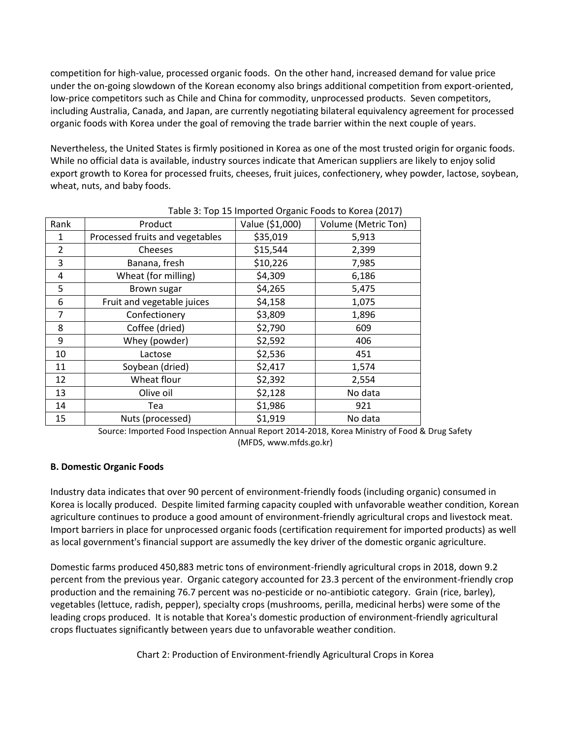competition for high-value, processed organic foods. On the other hand, increased demand for value price under the on-going slowdown of the Korean economy also brings additional competition from export-oriented, low-price competitors such as Chile and China for commodity, unprocessed products. Seven competitors, including Australia, Canada, and Japan, are currently negotiating bilateral equivalency agreement for processed organic foods with Korea under the goal of removing the trade barrier within the next couple of years.

Nevertheless, the United States is firmly positioned in Korea as one of the most trusted origin for organic foods. While no official data is available, industry sources indicate that American suppliers are likely to enjoy solid export growth to Korea for processed fruits, cheeses, fruit juices, confectionery, whey powder, lactose, soybean, wheat, nuts, and baby foods.

| Rank           | Product                         | Value (\$1,000) | Volume (Metric Ton) |
|----------------|---------------------------------|-----------------|---------------------|
| 1              | Processed fruits and vegetables | \$35,019        | 5,913               |
| $\overline{2}$ | Cheeses                         | \$15,544        | 2,399               |
| 3              | Banana, fresh                   | \$10,226        | 7,985               |
| 4              | Wheat (for milling)             | \$4,309         | 6,186               |
| 5              | Brown sugar                     | \$4,265         | 5,475               |
| 6              | Fruit and vegetable juices      | \$4,158         | 1,075               |
| 7              | Confectionery                   | \$3,809         | 1,896               |
| 8              | Coffee (dried)                  | \$2,790         | 609                 |
| 9              | Whey (powder)                   | \$2,592         | 406                 |
| 10             | Lactose                         | \$2,536         | 451                 |
| 11             | Soybean (dried)                 | \$2,417         | 1,574               |
| 12             | Wheat flour                     | \$2,392         | 2,554               |
| 13             | Olive oil                       | \$2,128         | No data             |
| 14             | Tea                             | \$1,986         | 921                 |
| 15             | Nuts (processed)                | \$1,919         | No data             |

#### Table 3: Top 15 Imported Organic Foods to Korea (2017)

Source: Imported Food Inspection Annual Report 2014-2018, Korea Ministry of Food & Drug Safety (MFDS, www.mfds.go.kr)

#### **B. Domestic Organic Foods**

Industry data indicates that over 90 percent of environment-friendly foods (including organic) consumed in Korea is locally produced. Despite limited farming capacity coupled with unfavorable weather condition, Korean agriculture continues to produce a good amount of environment-friendly agricultural crops and livestock meat. Import barriers in place for unprocessed organic foods (certification requirement for imported products) as well as local government's financial support are assumedly the key driver of the domestic organic agriculture.

Domestic farms produced 450,883 metric tons of environment-friendly agricultural crops in 2018, down 9.2 percent from the previous year. Organic category accounted for 23.3 percent of the environment-friendly crop production and the remaining 76.7 percent was no-pesticide or no-antibiotic category. Grain (rice, barley), vegetables (lettuce, radish, pepper), specialty crops (mushrooms, perilla, medicinal herbs) were some of the leading crops produced. It is notable that Korea's domestic production of environment-friendly agricultural crops fluctuates significantly between years due to unfavorable weather condition.

Chart 2: Production of Environment-friendly Agricultural Crops in Korea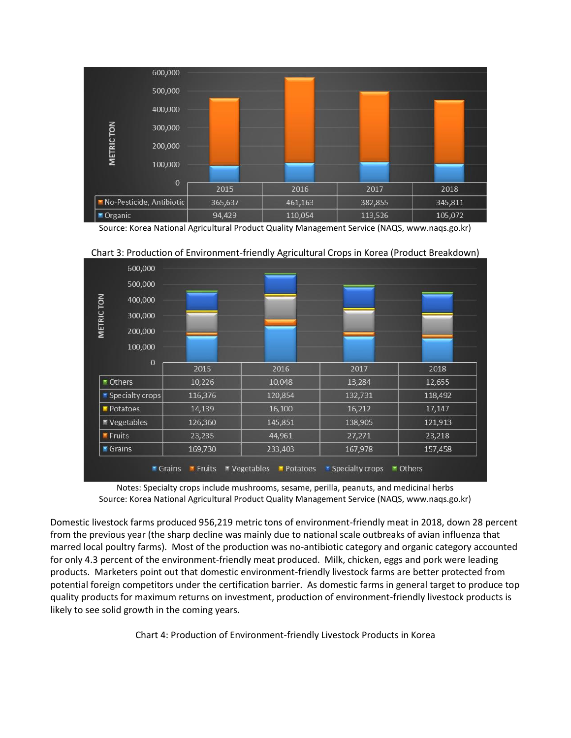

Source: Korea National Agricultural Product Quality Management Service (NAQS, www.naqs.go.kr)



Chart 3: Production of Environment-friendly Agricultural Crops in Korea (Product Breakdown)

Notes: Specialty crops include mushrooms, sesame, perilla, peanuts, and medicinal herbs Source: Korea National Agricultural Product Quality Management Service (NAQS, www.naqs.go.kr)

Domestic livestock farms produced 956,219 metric tons of environment-friendly meat in 2018, down 28 percent from the previous year (the sharp decline was mainly due to national scale outbreaks of avian influenza that marred local poultry farms). Most of the production was no-antibiotic category and organic category accounted for only 4.3 percent of the environment-friendly meat produced. Milk, chicken, eggs and pork were leading products. Marketers point out that domestic environment-friendly livestock farms are better protected from potential foreign competitors under the certification barrier. As domestic farms in general target to produce top quality products for maximum returns on investment, production of environment-friendly livestock products is likely to see solid growth in the coming years.

Chart 4: Production of Environment-friendly Livestock Products in Korea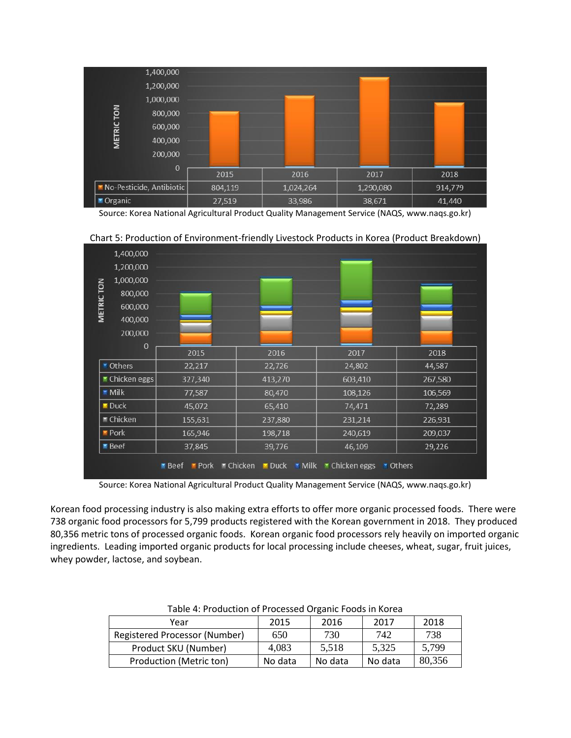

Source: Korea National Agricultural Product Quality Management Service (NAQS, www.naqs.go.kr)



Chart 5: Production of Environment-friendly Livestock Products in Korea (Product Breakdown)

Source: Korea National Agricultural Product Quality Management Service (NAQS, www.naqs.go.kr)

Korean food processing industry is also making extra efforts to offer more organic processed foods. There were 738 organic food processors for 5,799 products registered with the Korean government in 2018. They produced 80,356 metric tons of processed organic foods. Korean organic food processors rely heavily on imported organic ingredients. Leading imported organic products for local processing include cheeses, wheat, sugar, fruit juices, whey powder, lactose, and soybean.

| Table 4. I Todaction of Frocessed Organic Foods in Rolea |         |         |         |        |  |  |  |
|----------------------------------------------------------|---------|---------|---------|--------|--|--|--|
| Year                                                     | 2015    | 2016    | 2017    | 2018   |  |  |  |
| Registered Processor (Number)                            | 650     | 730     | 742     | 738    |  |  |  |
| Product SKU (Number)                                     | 4,083   | 5,518   | 5,325   | 5,799  |  |  |  |
| Production (Metric ton)                                  | No data | No data | No data | 80,356 |  |  |  |

Table 4: Production of Processed Organic Foods in Korea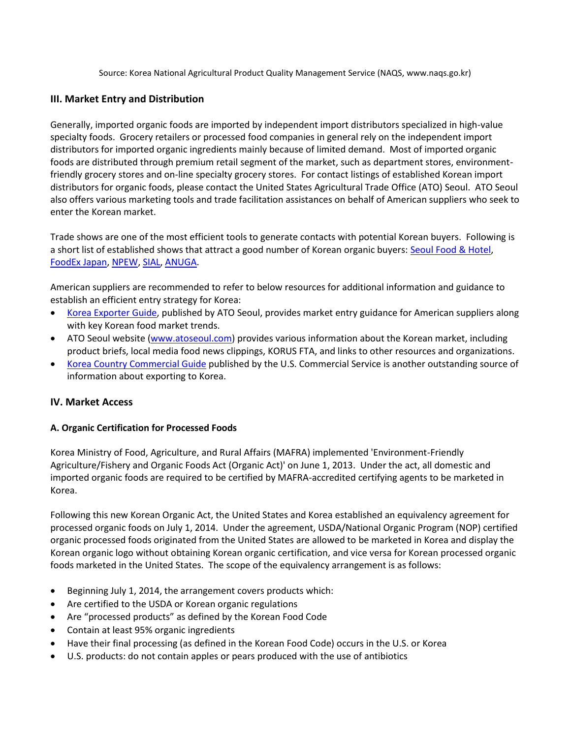Source: Korea National Agricultural Product Quality Management Service (NAQS, www.naqs.go.kr)

## **III. Market Entry and Distribution**

Generally, imported organic foods are imported by independent import distributors specialized in high-value specialty foods. Grocery retailers or processed food companies in general rely on the independent import distributors for imported organic ingredients mainly because of limited demand. Most of imported organic foods are distributed through premium retail segment of the market, such as department stores, environmentfriendly grocery stores and on-line specialty grocery stores. For contact listings of established Korean import distributors for organic foods, please contact the United States Agricultural Trade Office (ATO) Seoul. ATO Seoul also offers various marketing tools and trade facilitation assistances on behalf of American suppliers who seek to enter the Korean market.

Trade shows are one of the most efficient tools to generate contacts with potential Korean buyers. Following is a short list of established shows that attract a good number of Korean organic buyers: [Seoul Food & Hotel,](http://www.seoulfoodnhotel.co.kr/) [FoodEx Japan,](http://www.jma.or.jp/foodex/en/) [NPEW,](http://www.expowest.com/en/home.html) [SIAL,](http://www.sialparis.com/) [ANUGA.](http://www.anuga.com/)

American suppliers are recommended to refer to below resources for additional information and guidance to establish an efficient entry strategy for Korea:

- [Korea Exporter Guide,](http://www.atoseoul.com/pdf/Exporter%20Guide_Seoul%20ATO_Korea%20-%20Republic%20of_12-10-2018.pdf) published by ATO Seoul, provides market entry guidance for American suppliers along with key Korean food market trends.
- ATO Seoul website [\(www.atoseoul.com\)](www.atoseoul.com) provides various information about the Korean market, including product briefs, local media food news clippings, KORUS FTA, and links to other resources and organizations.
- [Korea Country Commercial Guide](https://www.export.gov/article?id=Korea-Market-Overview) published by the U.S. Commercial Service is another outstanding source of information about exporting to Korea.

## **IV. Market Access**

## **A. Organic Certification for Processed Foods**

Korea Ministry of Food, Agriculture, and Rural Affairs (MAFRA) implemented 'Environment-Friendly Agriculture/Fishery and Organic Foods Act (Organic Act)' on June 1, 2013. Under the act, all domestic and imported organic foods are required to be certified by MAFRA-accredited certifying agents to be marketed in Korea.

Following this new Korean Organic Act, the United States and Korea established an equivalency agreement for processed organic foods on July 1, 2014. Under the agreement, USDA/National Organic Program (NOP) certified organic processed foods originated from the United States are allowed to be marketed in Korea and display the Korean organic logo without obtaining Korean organic certification, and vice versa for Korean processed organic foods marketed in the United States. The scope of the equivalency arrangement is as follows:

- Beginning July 1, 2014, the arrangement covers products which:
- Are certified to the USDA or Korean organic regulations
- Are "processed products" as defined by the Korean Food Code
- Contain at least 95% organic ingredients
- Have their final processing (as defined in the Korean Food Code) occurs in the U.S. or Korea
- U.S. products: do not contain apples or pears produced with the use of antibiotics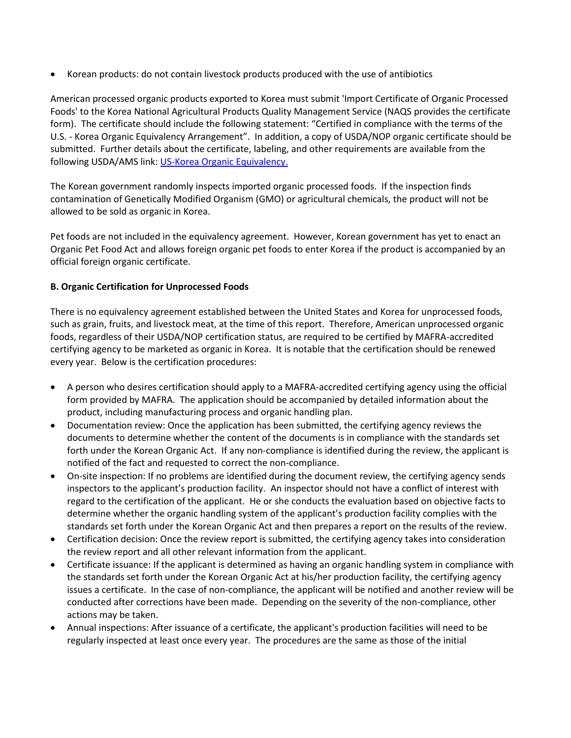Korean products: do not contain livestock products produced with the use of antibiotics

American processed organic products exported to Korea must submit 'Import Certificate of Organic Processed Foods' to the Korea National Agricultural Products Quality Management Service (NAQS provides the certificate form). The certificate should include the following statement: "Certified in compliance with the terms of the U.S. - Korea Organic Equivalency Arrangement". In addition, a copy of USDA/NOP organic certificate should be submitted. Further details about the certificate, labeling, and other requirements are available from the following USDA/AMS link: [US-Korea Organic Equivalency.](https://www.ams.usda.gov/services/organic-certification/international-trade/Korea)

The Korean government randomly inspects imported organic processed foods. If the inspection finds contamination of Genetically Modified Organism (GMO) or agricultural chemicals, the product will not be allowed to be sold as organic in Korea.

Pet foods are not included in the equivalency agreement. However, Korean government has yet to enact an Organic Pet Food Act and allows foreign organic pet foods to enter Korea if the product is accompanied by an official foreign organic certificate.

#### **B. Organic Certification for Unprocessed Foods**

There is no equivalency agreement established between the United States and Korea for unprocessed foods, such as grain, fruits, and livestock meat, at the time of this report. Therefore, American unprocessed organic foods, regardless of their USDA/NOP certification status, are required to be certified by MAFRA-accredited certifying agency to be marketed as organic in Korea. It is notable that the certification should be renewed every year. Below is the certification procedures:

- A person who desires certification should apply to a MAFRA-accredited certifying agency using the official form provided by MAFRA. The application should be accompanied by detailed information about the product, including manufacturing process and organic handling plan.
- Documentation review: Once the application has been submitted, the certifying agency reviews the documents to determine whether the content of the documents is in compliance with the standards set forth under the Korean Organic Act. If any non-compliance is identified during the review, the applicant is notified of the fact and requested to correct the non-compliance.
- On-site inspection: If no problems are identified during the document review, the certifying agency sends inspectors to the applicant's production facility. An inspector should not have a conflict of interest with regard to the certification of the applicant. He or she conducts the evaluation based on objective facts to determine whether the organic handling system of the applicant's production facility complies with the standards set forth under the Korean Organic Act and then prepares a report on the results of the review.
- Certification decision: Once the review report is submitted, the certifying agency takes into consideration the review report and all other relevant information from the applicant.
- Certificate issuance: If the applicant is determined as having an organic handling system in compliance with the standards set forth under the Korean Organic Act at his/her production facility, the certifying agency issues a certificate. In the case of non-compliance, the applicant will be notified and another review will be conducted after corrections have been made. Depending on the severity of the non-compliance, other actions may be taken.
- Annual inspections: After issuance of a certificate, the applicant's production facilities will need to be regularly inspected at least once every year. The procedures are the same as those of the initial